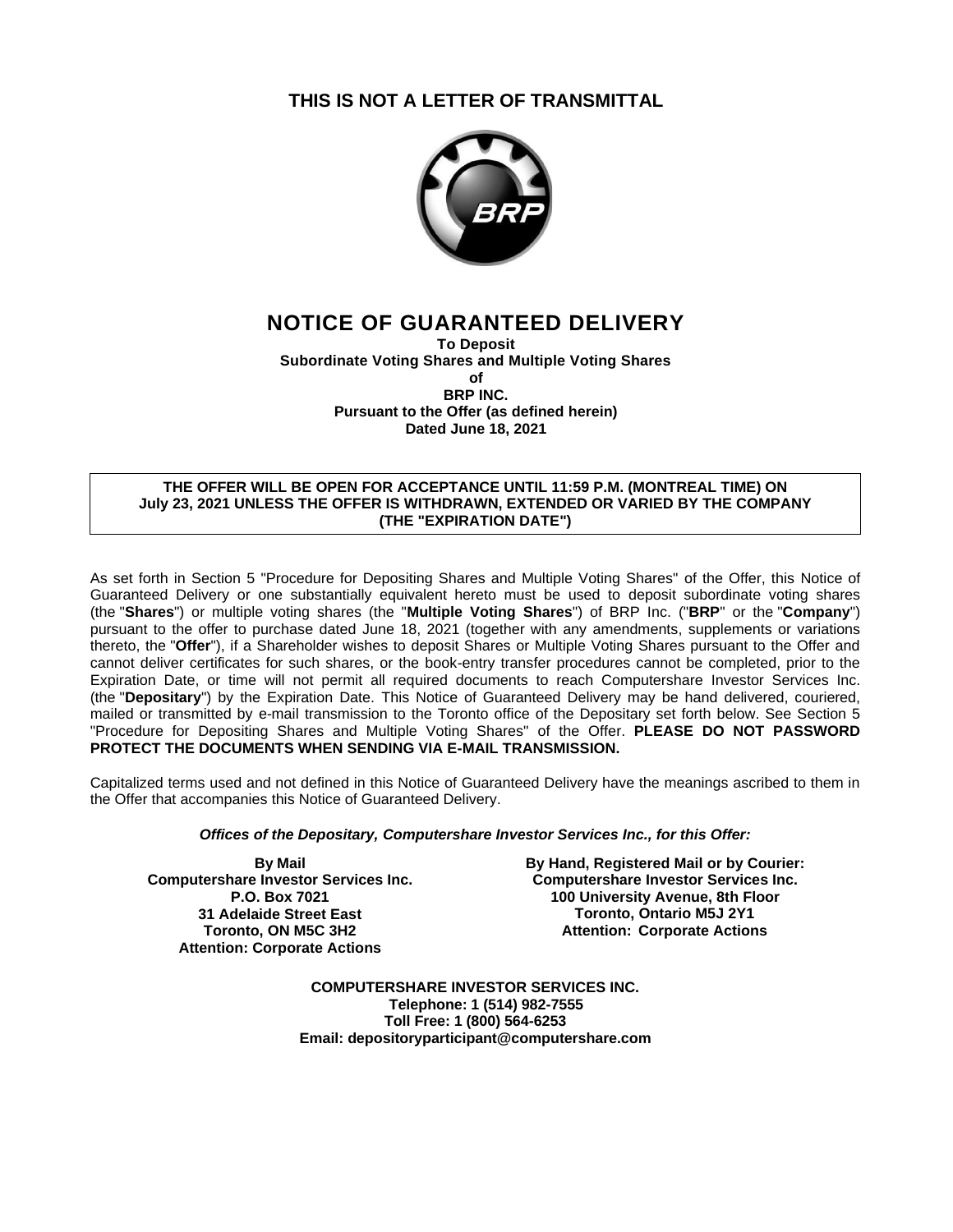# **THIS IS NOT A LETTER OF TRANSMITTAL**



# **NOTICE OF GUARANTEED DELIVERY**

**To Deposit Subordinate Voting Shares and Multiple Voting Shares of BRP INC. Pursuant to the Offer (as defined herein) Dated June 18, 2021**

## **THE OFFER WILL BE OPEN FOR ACCEPTANCE UNTIL 11:59 P.M. (MONTREAL TIME) ON July 23, 2021 UNLESS THE OFFER IS WITHDRAWN, EXTENDED OR VARIED BY THE COMPANY (THE "EXPIRATION DATE")**

As set forth in Section 5 "Procedure for Depositing Shares and Multiple Voting Shares" of the Offer, this Notice of Guaranteed Delivery or one substantially equivalent hereto must be used to deposit subordinate voting shares (the "**Shares**") or multiple voting shares (the "**Multiple Voting Shares**") of BRP Inc. ("**BRP**" or the "**Company**") pursuant to the offer to purchase dated June 18, 2021 (together with any amendments, supplements or variations thereto, the "**Offer**"), if a Shareholder wishes to deposit Shares or Multiple Voting Shares pursuant to the Offer and cannot deliver certificates for such shares, or the book-entry transfer procedures cannot be completed, prior to the Expiration Date, or time will not permit all required documents to reach Computershare Investor Services Inc. (the "**Depositary**") by the Expiration Date. This Notice of Guaranteed Delivery may be hand delivered, couriered, mailed or transmitted by e-mail transmission to the Toronto office of the Depositary set forth below. See Section 5 "Procedure for Depositing Shares and Multiple Voting Shares" of the Offer. **PLEASE DO NOT PASSWORD PROTECT THE DOCUMENTS WHEN SENDING VIA E-MAIL TRANSMISSION.**

Capitalized terms used and not defined in this Notice of Guaranteed Delivery have the meanings ascribed to them in the Offer that accompanies this Notice of Guaranteed Delivery.

## *Offices of the Depositary, Computershare Investor Services Inc., for this Offer:*

**By Mail Computershare Investor Services Inc. P.O. Box 7021 31 Adelaide Street East Toronto, ON M5C 3H2 Attention: Corporate Actions**

**By Hand, Registered Mail or by Courier: Computershare Investor Services Inc. 100 University Avenue, 8th Floor Toronto, Ontario M5J 2Y1 Attention: Corporate Actions**

**COMPUTERSHARE INVESTOR SERVICES INC. Telephone: 1 (514) 982-7555 Toll Free: 1 (800) 564-6253 Email: depositoryparticipant@computershare.com**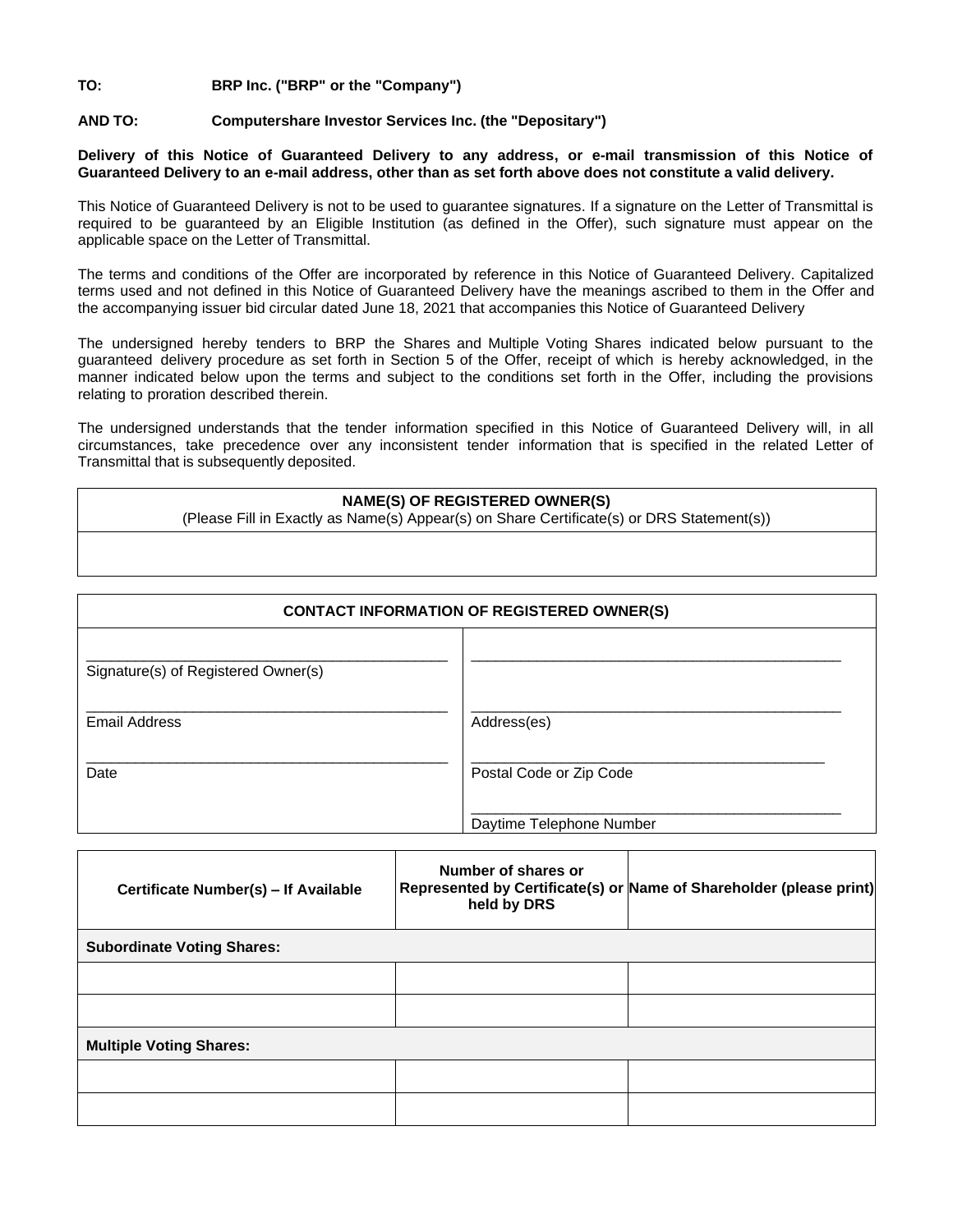# **TO: BRP Inc. ("BRP" or the "Company")**

## **AND TO: Computershare Investor Services Inc. (the "Depositary")**

### **Delivery of this Notice of Guaranteed Delivery to any address, or e-mail transmission of this Notice of Guaranteed Delivery to an e-mail address, other than as set forth above does not constitute a valid delivery.**

This Notice of Guaranteed Delivery is not to be used to guarantee signatures. If a signature on the Letter of Transmittal is required to be guaranteed by an Eligible Institution (as defined in the Offer), such signature must appear on the applicable space on the Letter of Transmittal.

The terms and conditions of the Offer are incorporated by reference in this Notice of Guaranteed Delivery. Capitalized terms used and not defined in this Notice of Guaranteed Delivery have the meanings ascribed to them in the Offer and the accompanying issuer bid circular dated June 18, 2021 that accompanies this Notice of Guaranteed Delivery

The undersigned hereby tenders to BRP the Shares and Multiple Voting Shares indicated below pursuant to the guaranteed delivery procedure as set forth in Section 5 of the Offer, receipt of which is hereby acknowledged, in the manner indicated below upon the terms and subject to the conditions set forth in the Offer, including the provisions relating to proration described therein.

The undersigned understands that the tender information specified in this Notice of Guaranteed Delivery will, in all circumstances, take precedence over any inconsistent tender information that is specified in the related Letter of Transmittal that is subsequently deposited.

#### **NAME(S) OF REGISTERED OWNER(S)**

(Please Fill in Exactly as Name(s) Appear(s) on Share Certificate(s) or DRS Statement(s))

| <b>CONTACT INFORMATION OF REGISTERED OWNER(S)</b> |                          |  |  |  |  |  |
|---------------------------------------------------|--------------------------|--|--|--|--|--|
| Signature(s) of Registered Owner(s)               |                          |  |  |  |  |  |
| <b>Email Address</b>                              | Address(es)              |  |  |  |  |  |
| Date                                              | Postal Code or Zip Code  |  |  |  |  |  |
|                                                   | Daytime Telephone Number |  |  |  |  |  |

| Certificate Number(s) - If Available | Number of shares or<br>held by DRS | Represented by Certificate(s) or Name of Shareholder (please print) |  |  |  |  |  |  |  |
|--------------------------------------|------------------------------------|---------------------------------------------------------------------|--|--|--|--|--|--|--|
| <b>Subordinate Voting Shares:</b>    |                                    |                                                                     |  |  |  |  |  |  |  |
|                                      |                                    |                                                                     |  |  |  |  |  |  |  |
|                                      |                                    |                                                                     |  |  |  |  |  |  |  |
| <b>Multiple Voting Shares:</b>       |                                    |                                                                     |  |  |  |  |  |  |  |
|                                      |                                    |                                                                     |  |  |  |  |  |  |  |
|                                      |                                    |                                                                     |  |  |  |  |  |  |  |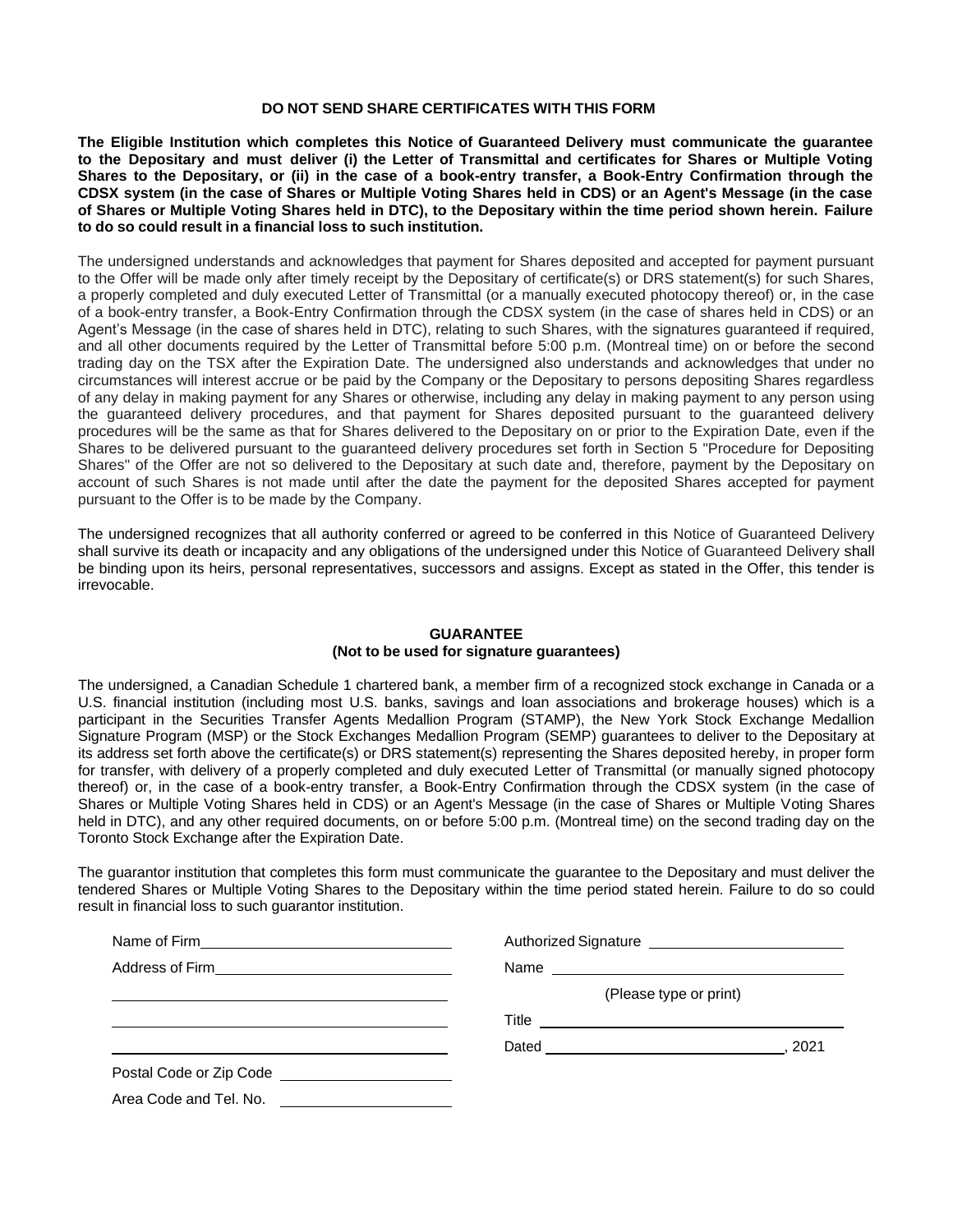#### **DO NOT SEND SHARE CERTIFICATES WITH THIS FORM**

**The Eligible Institution which completes this Notice of Guaranteed Delivery must communicate the guarantee to the Depositary and must deliver (i) the Letter of Transmittal and certificates for Shares or Multiple Voting Shares to the Depositary, or (ii) in the case of a book-entry transfer, a Book-Entry Confirmation through the CDSX system (in the case of Shares or Multiple Voting Shares held in CDS) or an Agent's Message (in the case of Shares or Multiple Voting Shares held in DTC), to the Depositary within the time period shown herein. Failure to do so could result in a financial loss to such institution.**

The undersigned understands and acknowledges that payment for Shares deposited and accepted for payment pursuant to the Offer will be made only after timely receipt by the Depositary of certificate(s) or DRS statement(s) for such Shares, a properly completed and duly executed Letter of Transmittal (or a manually executed photocopy thereof) or, in the case of a book-entry transfer, a Book-Entry Confirmation through the CDSX system (in the case of shares held in CDS) or an Agent's Message (in the case of shares held in DTC), relating to such Shares, with the signatures guaranteed if required, and all other documents required by the Letter of Transmittal before 5:00 p.m. (Montreal time) on or before the second trading day on the TSX after the Expiration Date. The undersigned also understands and acknowledges that under no circumstances will interest accrue or be paid by the Company or the Depositary to persons depositing Shares regardless of any delay in making payment for any Shares or otherwise, including any delay in making payment to any person using the guaranteed delivery procedures, and that payment for Shares deposited pursuant to the guaranteed delivery procedures will be the same as that for Shares delivered to the Depositary on or prior to the Expiration Date, even if the Shares to be delivered pursuant to the guaranteed delivery procedures set forth in Section 5 "Procedure for Depositing Shares" of the Offer are not so delivered to the Depositary at such date and, therefore, payment by the Depositary on account of such Shares is not made until after the date the payment for the deposited Shares accepted for payment pursuant to the Offer is to be made by the Company.

The undersigned recognizes that all authority conferred or agreed to be conferred in this Notice of Guaranteed Delivery shall survive its death or incapacity and any obligations of the undersigned under this Notice of Guaranteed Delivery shall be binding upon its heirs, personal representatives, successors and assigns. Except as stated in the Offer, this tender is irrevocable.

## **GUARANTEE (Not to be used for signature guarantees)**

The undersigned, a Canadian Schedule 1 chartered bank, a member firm of a recognized stock exchange in Canada or a U.S. financial institution (including most U.S. banks, savings and loan associations and brokerage houses) which is a participant in the Securities Transfer Agents Medallion Program (STAMP), the New York Stock Exchange Medallion Signature Program (MSP) or the Stock Exchanges Medallion Program (SEMP) guarantees to deliver to the Depositary at its address set forth above the certificate(s) or DRS statement(s) representing the Shares deposited hereby, in proper form for transfer, with delivery of a properly completed and duly executed Letter of Transmittal (or manually signed photocopy thereof) or, in the case of a book-entry transfer, a Book-Entry Confirmation through the CDSX system (in the case of Shares or Multiple Voting Shares held in CDS) or an Agent's Message (in the case of Shares or Multiple Voting Shares held in DTC), and any other required documents, on or before 5:00 p.m. (Montreal time) on the second trading day on the Toronto Stock Exchange after the Expiration Date.

The guarantor institution that completes this form must communicate the guarantee to the Depositary and must deliver the tendered Shares or Multiple Voting Shares to the Depositary within the time period stated herein. Failure to do so could result in financial loss to such guarantor institution.

|                                                                                   | Authorized Signature<br><u>[</u> [11] Authorized Signature |  |  |  |  |
|-----------------------------------------------------------------------------------|------------------------------------------------------------|--|--|--|--|
| Address of Firm ______________________________                                    |                                                            |  |  |  |  |
|                                                                                   | (Please type or print)                                     |  |  |  |  |
|                                                                                   |                                                            |  |  |  |  |
|                                                                                   | . 2021                                                     |  |  |  |  |
|                                                                                   |                                                            |  |  |  |  |
| Area Code and Tel. No.<br><u> 1989 - Andrea State Barbara, política establece</u> |                                                            |  |  |  |  |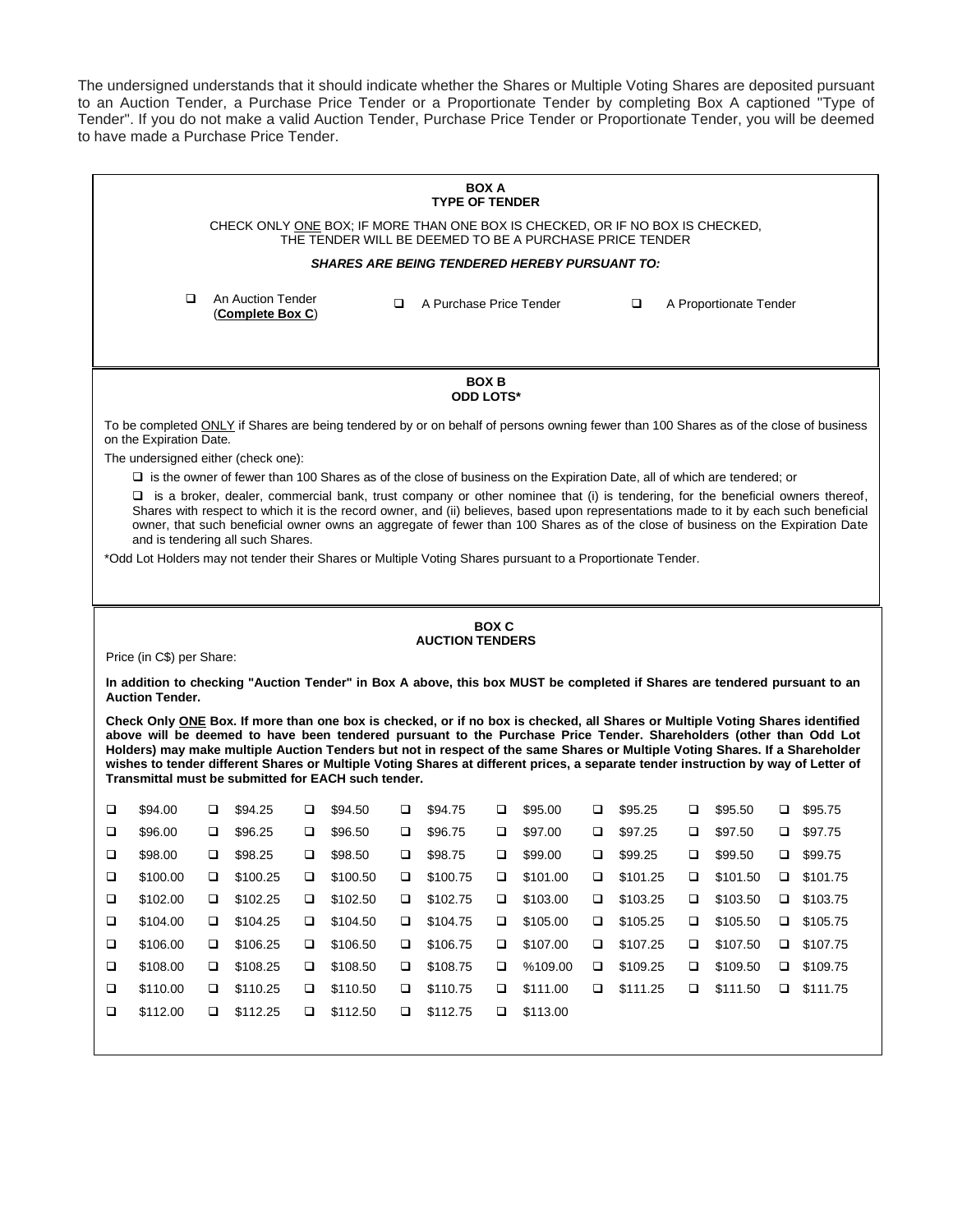The undersigned understands that it should indicate whether the Shares or Multiple Voting Shares are deposited pursuant to an Auction Tender, a Purchase Price Tender or a Proportionate Tender by completing Box A captioned "Type of Tender". If you do not make a valid Auction Tender, Purchase Price Tender or Proportionate Tender, you will be deemed to have made a Purchase Price Tender.

| <b>BOX A</b><br><b>TYPE OF TENDER</b>                                                                                                                                                                                                                                                                                                                                                                                                                                                                                                                                            |                                                                                                                                                                  |                                                                                                                           |        |          |        |                         |        |          |        |          |        |                        |   |          |
|----------------------------------------------------------------------------------------------------------------------------------------------------------------------------------------------------------------------------------------------------------------------------------------------------------------------------------------------------------------------------------------------------------------------------------------------------------------------------------------------------------------------------------------------------------------------------------|------------------------------------------------------------------------------------------------------------------------------------------------------------------|---------------------------------------------------------------------------------------------------------------------------|--------|----------|--------|-------------------------|--------|----------|--------|----------|--------|------------------------|---|----------|
| CHECK ONLY ONE BOX; IF MORE THAN ONE BOX IS CHECKED, OR IF NO BOX IS CHECKED,<br>THE TENDER WILL BE DEEMED TO BE A PURCHASE PRICE TENDER                                                                                                                                                                                                                                                                                                                                                                                                                                         |                                                                                                                                                                  |                                                                                                                           |        |          |        |                         |        |          |        |          |        |                        |   |          |
| <b>SHARES ARE BEING TENDERED HEREBY PURSUANT TO:</b>                                                                                                                                                                                                                                                                                                                                                                                                                                                                                                                             |                                                                                                                                                                  |                                                                                                                           |        |          |        |                         |        |          |        |          |        |                        |   |          |
|                                                                                                                                                                                                                                                                                                                                                                                                                                                                                                                                                                                  | $\Box$                                                                                                                                                           | An Auction Tender<br>(Complete Box C)                                                                                     |        |          | ◻      | A Purchase Price Tender |        |          |        | $\Box$   |        | A Proportionate Tender |   |          |
| <b>BOX B</b><br><b>ODD LOTS*</b>                                                                                                                                                                                                                                                                                                                                                                                                                                                                                                                                                 |                                                                                                                                                                  |                                                                                                                           |        |          |        |                         |        |          |        |          |        |                        |   |          |
|                                                                                                                                                                                                                                                                                                                                                                                                                                                                                                                                                                                  | To be completed ONLY if Shares are being tendered by or on behalf of persons owning fewer than 100 Shares as of the close of business<br>on the Expiration Date. |                                                                                                                           |        |          |        |                         |        |          |        |          |        |                        |   |          |
|                                                                                                                                                                                                                                                                                                                                                                                                                                                                                                                                                                                  | The undersigned either (check one):                                                                                                                              |                                                                                                                           |        |          |        |                         |        |          |        |          |        |                        |   |          |
|                                                                                                                                                                                                                                                                                                                                                                                                                                                                                                                                                                                  |                                                                                                                                                                  | □ is the owner of fewer than 100 Shares as of the close of business on the Expiration Date, all of which are tendered; or |        |          |        |                         |        |          |        |          |        |                        |   |          |
| $\Box$ is a broker, dealer, commercial bank, trust company or other nominee that (i) is tendering, for the beneficial owners thereof,<br>Shares with respect to which it is the record owner, and (ii) believes, based upon representations made to it by each such beneficial<br>owner, that such beneficial owner owns an aggregate of fewer than 100 Shares as of the close of business on the Expiration Date<br>and is tendering all such Shares.<br>*Odd Lot Holders may not tender their Shares or Multiple Voting Shares pursuant to a Proportionate Tender.             |                                                                                                                                                                  |                                                                                                                           |        |          |        |                         |        |          |        |          |        |                        |   |          |
|                                                                                                                                                                                                                                                                                                                                                                                                                                                                                                                                                                                  | <b>BOX C</b>                                                                                                                                                     |                                                                                                                           |        |          |        |                         |        |          |        |          |        |                        |   |          |
|                                                                                                                                                                                                                                                                                                                                                                                                                                                                                                                                                                                  |                                                                                                                                                                  |                                                                                                                           |        |          |        | <b>AUCTION TENDERS</b>  |        |          |        |          |        |                        |   |          |
| Price (in C\$) per Share:<br>In addition to checking "Auction Tender" in Box A above, this box MUST be completed if Shares are tendered pursuant to an<br><b>Auction Tender.</b>                                                                                                                                                                                                                                                                                                                                                                                                 |                                                                                                                                                                  |                                                                                                                           |        |          |        |                         |        |          |        |          |        |                        |   |          |
| Check Only ONE Box. If more than one box is checked, or if no box is checked, all Shares or Multiple Voting Shares identified<br>above will be deemed to have been tendered pursuant to the Purchase Price Tender. Shareholders (other than Odd Lot<br>Holders) may make multiple Auction Tenders but not in respect of the same Shares or Multiple Voting Shares. If a Shareholder<br>wishes to tender different Shares or Multiple Voting Shares at different prices, a separate tender instruction by way of Letter of<br>Transmittal must be submitted for EACH such tender. |                                                                                                                                                                  |                                                                                                                           |        |          |        |                         |        |          |        |          |        |                        |   |          |
| □<br>\$94.00                                                                                                                                                                                                                                                                                                                                                                                                                                                                                                                                                                     | ⊔                                                                                                                                                                | \$94.25                                                                                                                   |        | \$94.50  | ⊔      | \$94.75                 | □      | \$95.00  | □      | \$95.25  | □      | \$95.50                | ⊔ | \$95.75  |
| ❏<br>\$96.00                                                                                                                                                                                                                                                                                                                                                                                                                                                                                                                                                                     | □                                                                                                                                                                | \$96.25                                                                                                                   | □      | \$96.50  | □      | \$96.75                 | □      | \$97.00  | □      | \$97.25  | □      | \$97.50                |   | \$97.75  |
| □<br>\$98.00                                                                                                                                                                                                                                                                                                                                                                                                                                                                                                                                                                     | □                                                                                                                                                                | \$98.25                                                                                                                   | □      | \$98.50  | □      | \$98.75                 | □      | \$99.00  | □      | \$99.25  | ❏      | \$99.50                | o | \$99.75  |
| $\Box$<br>\$100.00                                                                                                                                                                                                                                                                                                                                                                                                                                                                                                                                                               | ❏                                                                                                                                                                | \$100.25                                                                                                                  | □      | \$100.50 | $\Box$ | \$100.75                | $\Box$ | \$101.00 | $\Box$ | \$101.25 | $\Box$ | \$101.50               | ❏ | \$101.75 |
| \$102.00<br>□                                                                                                                                                                                                                                                                                                                                                                                                                                                                                                                                                                    | □                                                                                                                                                                | \$102.25                                                                                                                  | $\Box$ | \$102.50 | □      | \$102.75                | $\Box$ | \$103.00 | $\Box$ | \$103.25 | $\Box$ | \$103.50               | ❏ | \$103.75 |
| $\Box$<br>\$104.00                                                                                                                                                                                                                                                                                                                                                                                                                                                                                                                                                               | $\Box$                                                                                                                                                           | \$104.25                                                                                                                  | $\Box$ | \$104.50 | $\Box$ | \$104.75                | $\Box$ | \$105.00 | $\Box$ | \$105.25 | $\Box$ | \$105.50               | Ч | \$105.75 |
| \$106.00<br>□                                                                                                                                                                                                                                                                                                                                                                                                                                                                                                                                                                    | $\Box$                                                                                                                                                           | \$106.25                                                                                                                  | $\Box$ | \$106.50 | Ч      | \$106.75                | $\Box$ | \$107.00 | $\Box$ | \$107.25 | $\Box$ | \$107.50               | □ | \$107.75 |
| $\Box$<br>\$108.00                                                                                                                                                                                                                                                                                                                                                                                                                                                                                                                                                               | ❏                                                                                                                                                                | \$108.25                                                                                                                  | $\Box$ | \$108.50 | □      | \$108.75                | $\Box$ | %109.00  | □      | \$109.25 | □      | \$109.50               | □ | \$109.75 |
| $\Box$<br>\$110.00                                                                                                                                                                                                                                                                                                                                                                                                                                                                                                                                                               | $\Box$                                                                                                                                                           | \$110.25                                                                                                                  | $\Box$ | \$110.50 | Ч      | \$110.75                | $\Box$ | \$111.00 | □      | \$111.25 | □      | \$111.50               | □ | \$111.75 |
| $\Box$<br>\$112.00                                                                                                                                                                                                                                                                                                                                                                                                                                                                                                                                                               | □                                                                                                                                                                | \$112.25                                                                                                                  | $\Box$ | \$112.50 | □      | \$112.75                | $\Box$ | \$113.00 |        |          |        |                        |   |          |
|                                                                                                                                                                                                                                                                                                                                                                                                                                                                                                                                                                                  |                                                                                                                                                                  |                                                                                                                           |        |          |        |                         |        |          |        |          |        |                        |   |          |